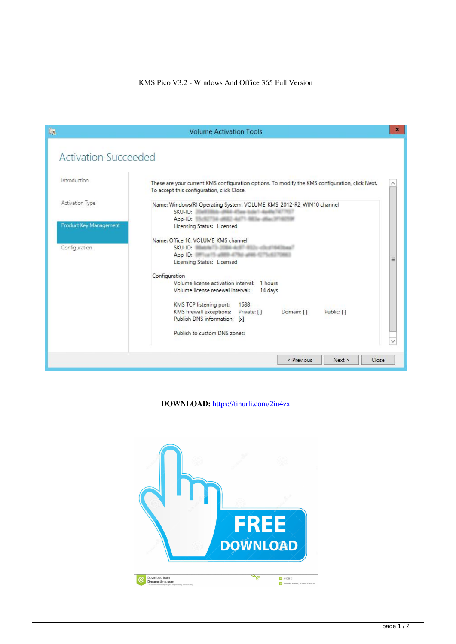## KMS Pico V3.2 - Windows And Office 365 Full Version

| <b>In</b>                   | <b>Volume Activation Tools</b>                                                                                                                                                                                                                   | x        |
|-----------------------------|--------------------------------------------------------------------------------------------------------------------------------------------------------------------------------------------------------------------------------------------------|----------|
| <b>Activation Succeeded</b> |                                                                                                                                                                                                                                                  |          |
| Introduction                | These are your current KMS configuration options. To modify the KMS configuration, click Next.<br>To accept this configuration, click Close.                                                                                                     |          |
| Activation Type             | Name: Windows(R) Operating System, VOLUME_KMS_2012-R2_WIN10 channel<br>SKU-ID:<br><b>L. (FREE ATTane Rule</b><br>App-ID:                                                                                                                         |          |
| Product Key Management      | Licensing Status: Licensed                                                                                                                                                                                                                       |          |
| Configuration               | Name: Office 16, VOLUME_KMS channel<br>SKU-ID:<br>App-ID:<br>ATMOS AT THE AREA<br>Licensing Status: Licensed<br>Configuration                                                                                                                    | $\equiv$ |
|                             | Volume license activation interval:<br>1 hours<br>Volume license renewal interval:<br>14 days<br>1688<br>KMS TCP listening port:<br><b>KMS</b> firewall exceptions:<br>Private: [1]<br>Domain: [1]<br>Public: []<br>Publish DNS information: [x] |          |
|                             | Publish to custom DNS zones:                                                                                                                                                                                                                     |          |
|                             | < Previous<br>Next<br>Close                                                                                                                                                                                                                      |          |

**DOWNLOAD:** <https://tinurli.com/2iu4zx>